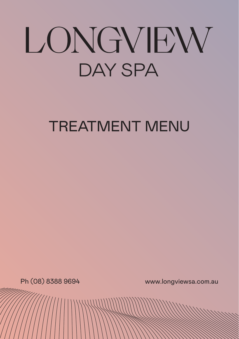# LONGVIEW **DAY SPA**

### TREATMENT MENU

Ph (08) 8388 9694 www.longviewsa.com.au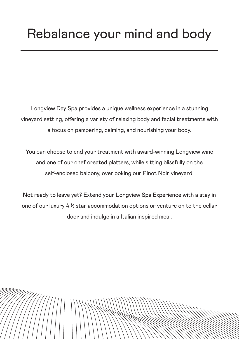Longview Day Spa provides a unique wellness experience in a stunning vineyard setting, offering a variety of relaxing body and facial treatments with a focus on pampering, calming, and nourishing your body.

You can choose to end your treatment with award-winning Longview wine and one of our chef created platters, while sitting blissfully on the self-enclosed balcony, overlooking our Pinot Noir vineyard.

Not ready to leave yet? Extend your Longview Spa Experience with a stay in one of our luxury  $4\frac{1}{2}$  star accommodation options or venture on to the cellar door and indulge in a Italian inspired meal.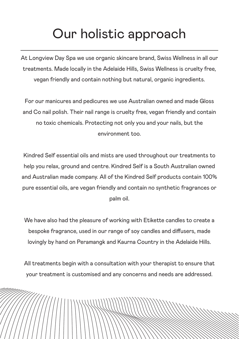#### Our holistic approach

At Longview Day Spa we use organic skincare brand, Swiss Wellness in all our treatments. Made locally in the Adelaide Hills, Swiss Wellness is cruelty free, vegan friendly and contain nothing but natural, organic ingredients.

For our manicures and pedicures we use Australian owned and made Gloss and Co nail polish. Their nail range is cruelty free, vegan friendly and contain no toxic chemicals. Protecting not only you and your nails, but the environment too.

Kindred Self essential oils and mists are used throughout our treatments to help you relax, ground and centre. Kindred Self is a South Australian owned and Australian made company. All of the Kindred Self products contain 100% pure essential oils, are vegan friendly and contain no synthetic fragrances or palm oil.

We have also had the pleasure of working with Etikette candles to create a bespoke fragrance, used in our range of soy candles and diffusers, made lovingly by hand on Peramangk and Kaurna Country in the Adelaide Hills.

All treatments begin with a consultation with your therapist to ensure that your treatment is customised and any concerns and needs are addressed.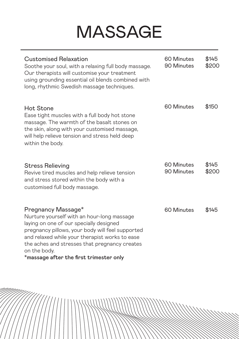## MASSAGE

| Customised Relaxation<br>Soothe your soul, with a relaxing full body massage.<br>Our therapists will customise your treatment<br>using grounding essential oil blends combined with<br>long, rhythmic Swedish massage techniques.                                                                                             | 60 Minutes<br>90 Minutes | \$145<br>\$200 |
|-------------------------------------------------------------------------------------------------------------------------------------------------------------------------------------------------------------------------------------------------------------------------------------------------------------------------------|--------------------------|----------------|
| Hot Stone<br>Ease tight muscles with a full body hot stone<br>massage. The warmth of the basalt stones on<br>the skin, along with your customised massage,<br>will help relieve tension and stress held deep<br>within the body.                                                                                              | 60 Minutes               | \$150          |
| <b>Stress Relieving</b><br>Revive tired muscles and help relieve tension<br>and stress stored within the body with a<br>customised full body massage.                                                                                                                                                                         | 60 Minutes<br>90 Minutes | \$145<br>\$200 |
| Pregnancy Massage*<br>Nurture yourself with an hour-long massage<br>laying on one of our specially designed<br>pregnancy pillows, your body will feel supported<br>and relaxed while your therapist works to ease<br>the aches and stresses that pregnancy creates<br>on the body.<br>*massage after the first trimester only | 60 Minutes               | \$145          |

 $11111111$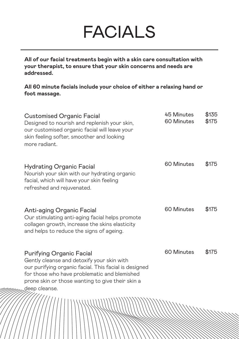### FACIALS

**All of our facial treatments begin with a skin care consultation with your therapist, to ensure that your skin concerns and needs are addressed.**

**All 60 minute facials include your choice of either a relaxing hand or foot massage.** 

| <b>Customised Organic Facial</b><br>Designed to nourish and replenish your skin,<br>our customised organic facial will leave your<br>skin feeling softer, smoother and looking<br>more radiant.                                                             | 45 Minutes<br>60 Minutes | \$135<br>\$175 |
|-------------------------------------------------------------------------------------------------------------------------------------------------------------------------------------------------------------------------------------------------------------|--------------------------|----------------|
| Hydrating Organic Facial<br>Nourish your skin with our hydrating organic<br>facial, which will have your skin feeling<br>refreshed and rejuvenated.                                                                                                         | 60 Minutes               | \$175          |
| Anti-aging Organic Facial<br>Our stimulating anti-aging facial helps promote<br>collagen growth, increase the skins elasticity<br>and helps to reduce the signs of ageing.                                                                                  | 60 Minutes               | \$175          |
| <b>Purifying Organic Facial</b><br>Gently cleanse and detoxify your skin with<br>our purifying organic facial. This facial is designed<br>for those who have problematic and blemished<br>prone skin or those wanting to give their skin a<br>deep cleanse. | 60 Minutes               | \$175          |
|                                                                                                                                                                                                                                                             |                          |                |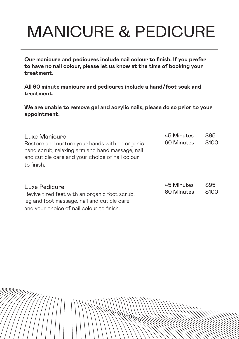## MANICURE & PEDICURE

**Our manicure and pedicures include nail colour to finish. If you prefer to have no nail colour, please let us know at the time of booking your treatment.** 

**All 60 minute manicure and pedicures include a hand/foot soak and treatment.** 

**We are unable to remove gel and acrylic nails, please do so prior to your appointment.**

| Luxe Manicure<br>Restore and nurture your hands with an organic<br>hand scrub, relaxing arm and hand massage, nail<br>and cuticle care and your choice of nail colour<br>to finish. | 45 Minutes<br>60 Minutes | \$95<br>\$100 |
|-------------------------------------------------------------------------------------------------------------------------------------------------------------------------------------|--------------------------|---------------|
| Luxe Pedicure<br>Revive tired feet with an organic foot scrub,<br>leg and foot massage, nail and cuticle care<br>and your choice of nail colour to finish.                          | 45 Minutes<br>60 Minutes | \$95<br>\$100 |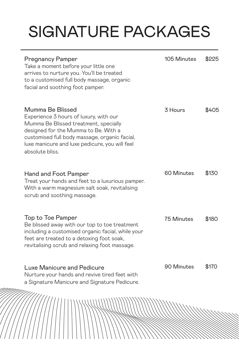# SIGNATURE PACKAGES

| <b>Pregnancy Pamper</b><br>Take a moment before your little one<br>arrives to nurture you. You'll be treated<br>to a customised full body massage, organic<br>facial and soothing foot pamper.                                                                    | 105 Minutes       | \$225 |
|-------------------------------------------------------------------------------------------------------------------------------------------------------------------------------------------------------------------------------------------------------------------|-------------------|-------|
| Mumma Be Blissed<br>Experience 3 hours of luxury, with our<br>Mumma Be Blissed treatment, specially<br>designed for the Mumma to Be. With a<br>customised full body massage, organic facial,<br>luxe manicure and luxe pedicure, you will feel<br>absolute bliss. | 3 Hours           | \$405 |
| Hand and Foot Pamper<br>Treat your hands and feet to a luxurious pamper.<br>With a warm magnesium salt soak, revitalising<br>scrub and soothing massage.                                                                                                          | 60 Minutes        | \$130 |
| Top to Toe Pamper<br>Be blissed away with our top to toe treatment<br>including a customised organic facial, while your<br>feet are treated to a detoxing foot soak,<br>revitalising scrub and relaxing foot massage.                                             | <b>75 Minutes</b> | \$180 |
| Luxe Manicure and Pedicure<br>Nurture your hands and revive tired feet with<br>a Signature Manicure and Signature Pedicure.<br>111111.                                                                                                                            | 90 Minutes        | \$170 |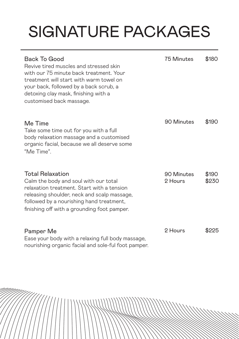# SIGNATURE PACKAGES

| Back To Good<br>Revive tired muscles and stressed skin<br>with our 75 minute back treatment. Your<br>treatment will start with warm towel on<br>your back, followed by a back scrub, a<br>detoxing clay mask, finishing with a<br>customised back massage. | <b>75 Minutes</b>     | \$180          |
|------------------------------------------------------------------------------------------------------------------------------------------------------------------------------------------------------------------------------------------------------------|-----------------------|----------------|
| Me Time<br>Take some time out for you with a full<br>body relaxation massage and a customised<br>organic facial, because we all deserve some<br>"Me Time".                                                                                                 | 90 Minutes            | \$190          |
| <b>Total Relaxation</b><br>Calm the body and soul with our total<br>relaxation treatment. Start with a tension<br>releasing shoulder, neck and scalp massage,<br>followed by a nourishing hand treatment,<br>finishing off with a grounding foot pamper.   | 90 Minutes<br>2 Hours | \$190<br>\$230 |
| Pamper Me<br>Ease your body with a relaxing full body massage,<br>nourishing organic facial and sole-ful foot pamper.                                                                                                                                      | 2 Hours               | \$225          |

 $111111$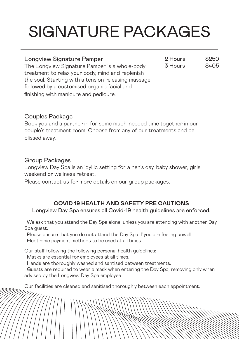# SIGNATURE PACKAGES

2 Hours 3 Hours \$250 \$405

#### Longview Signature Pamper

The Longview Signature Pamper is a whole-body treatment to relax your body, mind and replenish the soul. Starting with a tension releasing massage, followed by a customised organic facial and finishing with manicure and pedicure.

#### Couples Package

Book you and a partner in for some much-needed time together in our couple's treatment room. Choose from any of our treatments and be blissed away.

#### Group Packages

Longview Day Spa is an idyllic setting for a hen's day, baby shower, girls weekend or wellness retreat.

Please contact us for more details on our group packages.

#### **COVID 19 HEALTH AND SAFETY PRE CAUTIONS**

Longview Day Spa ensures all Covid-19 health guidelines are enforced.

• We ask that you attend the Day Spa alone, unless you are attending with another Day Spa guest.

- Please ensure that you do not attend the Day Spa if you are feeling unwell.
- Electronic payment methods to be used at all times.

Our staff following the following personal health guidelines:-

- Masks are essential for employees at all times.
- Hands are thoroughly washed and santised between treatments.

• Guests are required to wear a mask when entering the Day Spa, removing only when advised by the Longview Day Spa employee.

Our facilities are cleaned and sanitised thoroughly between each appointment.